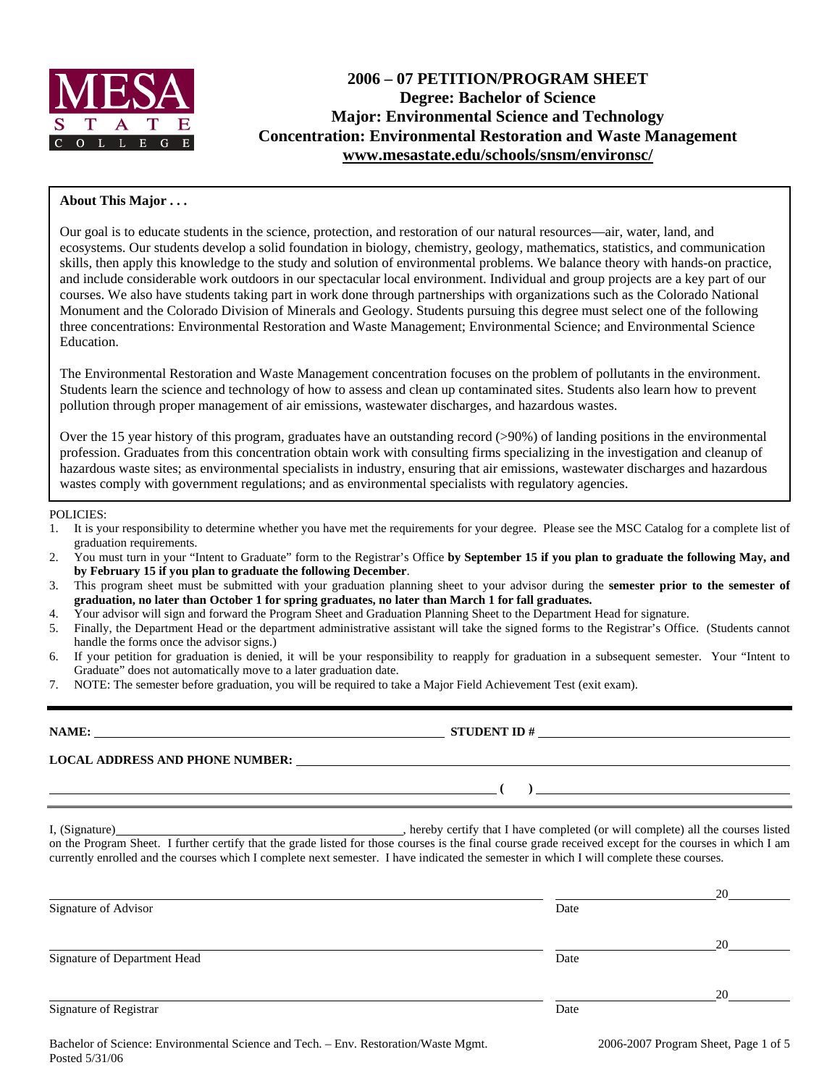

# **2006 – 07 PETITION/PROGRAM SHEET Degree: Bachelor of Science Major: Environmental Science and Technology Concentration: Environmental Restoration and Waste Management www.mesastate.edu/schools/snsm/environsc/**

#### **About This Major . . .**

Our goal is to educate students in the science, protection, and restoration of our natural resources—air, water, land, and ecosystems. Our students develop a solid foundation in biology, chemistry, geology, mathematics, statistics, and communication skills, then apply this knowledge to the study and solution of environmental problems. We balance theory with hands-on practice, and include considerable work outdoors in our spectacular local environment. Individual and group projects are a key part of our courses. We also have students taking part in work done through partnerships with organizations such as the Colorado National Monument and the Colorado Division of Minerals and Geology. Students pursuing this degree must select one of the following three concentrations: Environmental Restoration and Waste Management; Environmental Science; and Environmental Science Education.

The Environmental Restoration and Waste Management concentration focuses on the problem of pollutants in the environment. Students learn the science and technology of how to assess and clean up contaminated sites. Students also learn how to prevent pollution through proper management of air emissions, wastewater discharges, and hazardous wastes.

Over the 15 year history of this program, graduates have an outstanding record (>90%) of landing positions in the environmental profession. Graduates from this concentration obtain work with consulting firms specializing in the investigation and cleanup of hazardous waste sites; as environmental specialists in industry, ensuring that air emissions, wastewater discharges and hazardous wastes comply with government regulations; and as environmental specialists with regulatory agencies.

#### POLICIES:

- 1. It is your responsibility to determine whether you have met the requirements for your degree. Please see the MSC Catalog for a complete list of graduation requirements.
- 2. You must turn in your "Intent to Graduate" form to the Registrar's Office **by September 15 if you plan to graduate the following May, and by February 15 if you plan to graduate the following December**.
- 3. This program sheet must be submitted with your graduation planning sheet to your advisor during the **semester prior to the semester of graduation, no later than October 1 for spring graduates, no later than March 1 for fall graduates.**
- 4. Your advisor will sign and forward the Program Sheet and Graduation Planning Sheet to the Department Head for signature.
- 5. Finally, the Department Head or the department administrative assistant will take the signed forms to the Registrar's Office. (Students cannot handle the forms once the advisor signs.)
- 6. If your petition for graduation is denied, it will be your responsibility to reapply for graduation in a subsequent semester. Your "Intent to Graduate" does not automatically move to a later graduation date.
- 7. NOTE: The semester before graduation, you will be required to take a Major Field Achievement Test (exit exam).

**NAME: STUDENT ID # STUDENT ID # STUDENT ID # STUDENT ID # STUDENT ID # STUDENT ID # STUDENT ID # STUDENT ID # STUDENT ID # STUDENT 1D + STUDENT 1D + STUDENT 1D + STUDENT 1D + STUDENT 1D + STU** 

**LOCAL ADDRESS AND PHONE NUMBER:**

I, (Signature) , hereby certify that I have completed (or will complete) all the courses listed on the Program Sheet. I further certify that the grade listed for those courses is the final course grade received except for the courses in which I am currently enrolled and the courses which I complete next semester. I have indicated the semester in which I will complete these courses.

|                              |      | 20 |
|------------------------------|------|----|
| Signature of Advisor         | Date |    |
|                              |      | 20 |
| Signature of Department Head | Date |    |
|                              |      | 20 |
| Signature of Registrar       | Date |    |

 **( )**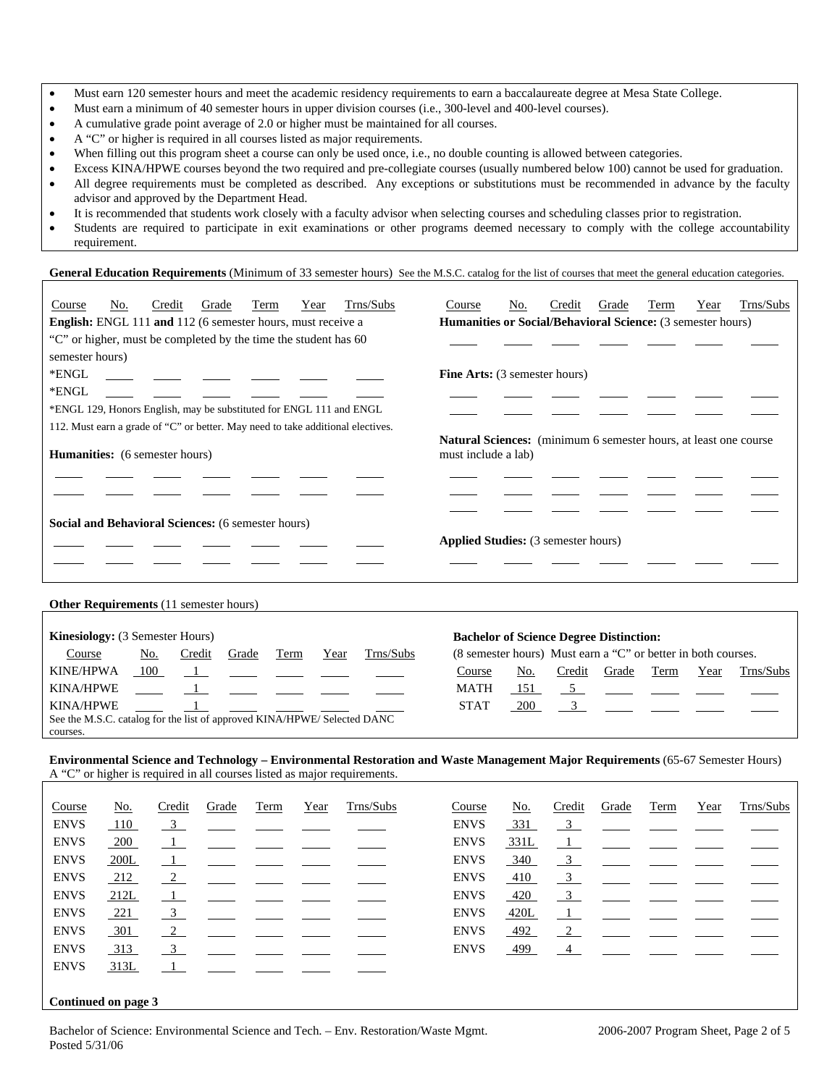- Must earn 120 semester hours and meet the academic residency requirements to earn a baccalaureate degree at Mesa State College.
- Must earn a minimum of 40 semester hours in upper division courses (i.e., 300-level and 400-level courses).
- A cumulative grade point average of 2.0 or higher must be maintained for all courses.
- A "C" or higher is required in all courses listed as major requirements.
- When filling out this program sheet a course can only be used once, i.e., no double counting is allowed between categories.
- Excess KINA/HPWE courses beyond the two required and pre-collegiate courses (usually numbered below 100) cannot be used for graduation.
- All degree requirements must be completed as described. Any exceptions or substitutions must be recommended in advance by the faculty advisor and approved by the Department Head.
- It is recommended that students work closely with a faculty advisor when selecting courses and scheduling classes prior to registration.
- Students are required to participate in exit examinations or other programs deemed necessary to comply with the college accountability requirement.

General Education Requirements (Minimum of 33 semester hours) See the M.S.C. catalog for the list of courses that meet the general education categories.

| Trns/Subs<br>No.<br>Grade<br>Credit<br>Term<br>Year<br>Course                   | Trns/Subs<br>No.<br>Credit<br>Grade<br>Year<br>Term<br>Course                           |  |  |  |  |  |  |
|---------------------------------------------------------------------------------|-----------------------------------------------------------------------------------------|--|--|--|--|--|--|
| <b>English:</b> ENGL 111 and 112 (6 semester hours, must receive a              | Humanities or Social/Behavioral Science: (3 semester hours)                             |  |  |  |  |  |  |
| "C" or higher, must be completed by the time the student has 60                 |                                                                                         |  |  |  |  |  |  |
| semester hours)                                                                 |                                                                                         |  |  |  |  |  |  |
| *ENGL<br><u> 1980 - Jan James James III, martx</u>                              | <b>Fine Arts:</b> (3 semester hours)                                                    |  |  |  |  |  |  |
| *ENGL                                                                           |                                                                                         |  |  |  |  |  |  |
| *ENGL 129, Honors English, may be substituted for ENGL 111 and ENGL             |                                                                                         |  |  |  |  |  |  |
| 112. Must earn a grade of "C" or better. May need to take additional electives. |                                                                                         |  |  |  |  |  |  |
| <b>Humanities:</b> (6 semester hours)                                           | Natural Sciences: (minimum 6 semester hours, at least one course<br>must include a lab) |  |  |  |  |  |  |
|                                                                                 |                                                                                         |  |  |  |  |  |  |
|                                                                                 |                                                                                         |  |  |  |  |  |  |
| <b>Social and Behavioral Sciences:</b> (6 semester hours)                       |                                                                                         |  |  |  |  |  |  |
|                                                                                 | <b>Applied Studies:</b> (3 semester hours)                                              |  |  |  |  |  |  |
|                                                                                 |                                                                                         |  |  |  |  |  |  |
|                                                                                 |                                                                                         |  |  |  |  |  |  |

#### **Other Requirements** (11 semester hours)

| <b>Kinesiology:</b> (3 Semester Hours) |                                                                          |        |       |      |      |           | <b>Bachelor of Science Degree Distinction:</b>                |     |        |       |      |      |           |
|----------------------------------------|--------------------------------------------------------------------------|--------|-------|------|------|-----------|---------------------------------------------------------------|-----|--------|-------|------|------|-----------|
| Course                                 | No.                                                                      | Credit | Grade | Term | Year | Trns/Subs | (8 semester hours) Must earn a "C" or better in both courses. |     |        |       |      |      |           |
| <b>KINE/HPWA</b>                       | 100                                                                      |        |       |      |      |           | Course                                                        | No. | Credit | Grade | Term | Year | Trns/Subs |
| <b>KINA/HPWE</b>                       |                                                                          |        |       |      |      |           | <b>MATH</b>                                                   | 151 |        |       |      |      |           |
| <b>KINA/HPWE</b>                       |                                                                          |        |       |      |      |           | <b>STAT</b>                                                   | 200 |        |       |      |      |           |
|                                        | See the M.S.C. catalog for the list of approved KINA/HPWE/ Selected DANC |        |       |      |      |           |                                                               |     |        |       |      |      |           |
| courses.                               |                                                                          |        |       |      |      |           |                                                               |     |        |       |      |      |           |

#### **Environmental Science and Technology – Environmental Restoration and Waste Management Major Requirements** (65-67 Semester Hours) A "C" or higher is required in all courses listed as major requirements.

| Course              | <u>No.</u> | Credit                  | Grade | Term | Year | Trns/Subs | Course      | <u>No.</u> | Credit                    | Grade | Term | Year | Trns/Subs |
|---------------------|------------|-------------------------|-------|------|------|-----------|-------------|------------|---------------------------|-------|------|------|-----------|
| <b>ENVS</b>         | 110        | $\overline{\mathbf{3}}$ |       |      |      |           | <b>ENVS</b> | 331        | $-3$                      |       |      |      |           |
| <b>ENVS</b>         | 200        | $\blacksquare$          |       |      |      |           | <b>ENVS</b> | 331L       | $\perp$                   |       |      |      |           |
| <b>ENVS</b>         | 200L       | $\overline{1}$          |       |      |      |           | <b>ENVS</b> | 340        | $\overline{\mathbf{3}}$   |       |      |      |           |
| <b>ENVS</b>         | 212        | 2                       |       |      |      |           | <b>ENVS</b> | 410        | $\overline{\mathbf{3}}$   |       |      |      |           |
| <b>ENVS</b>         | 212L       | $\mathbf{1}$            |       |      |      |           | <b>ENVS</b> | 420        | $\overline{\phantom{0}3}$ |       |      |      |           |
| <b>ENVS</b>         | 221        | 3                       |       |      |      |           | <b>ENVS</b> | 420L       | $\overline{1}$            |       |      |      |           |
| <b>ENVS</b>         | 301        | 2                       |       |      |      |           | <b>ENVS</b> | 492        | $\overline{2}$            |       |      |      |           |
| <b>ENVS</b>         | 313        | 3                       |       |      |      |           | <b>ENVS</b> | 499        | $\sim$ 4                  |       |      |      |           |
| <b>ENVS</b>         | 313L       | - 1                     |       |      |      |           |             |            |                           |       |      |      |           |
|                     |            |                         |       |      |      |           |             |            |                           |       |      |      |           |
| Continued on page 3 |            |                         |       |      |      |           |             |            |                           |       |      |      |           |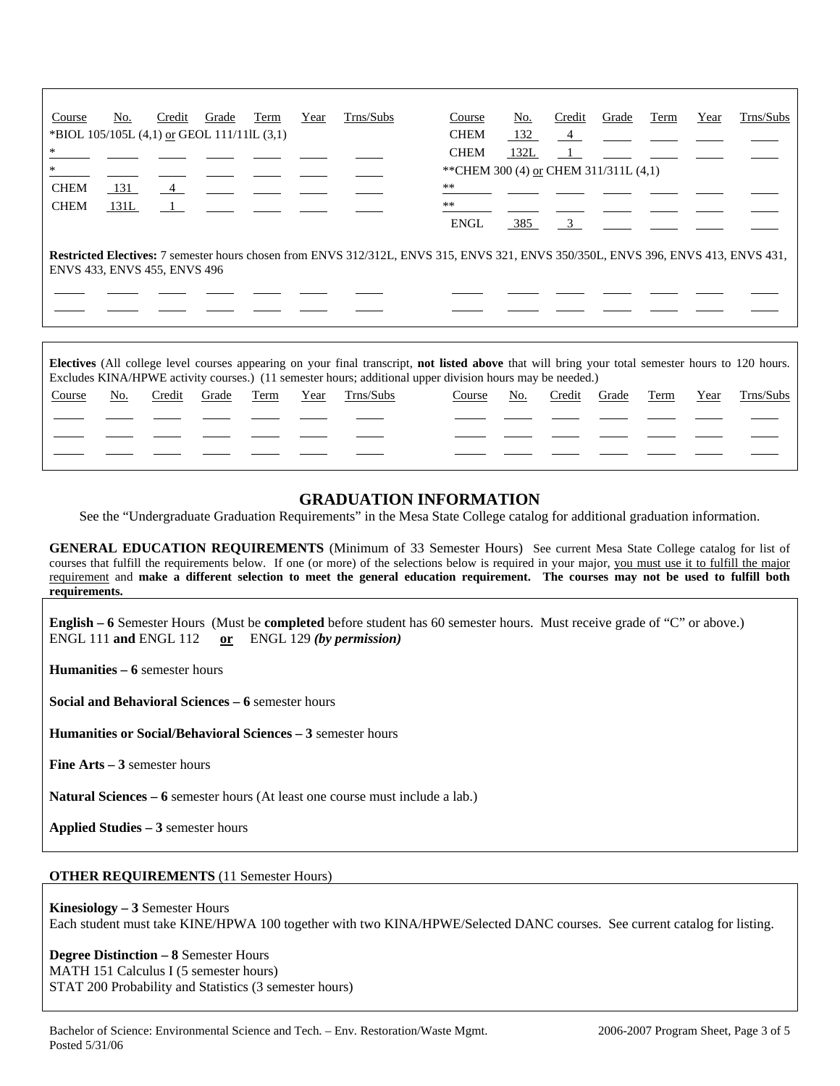| Course                                                                                                                                                                    | No.                                    | Credit         | Grade | Term | Year | Trns/Subs | Course      | No.  | Credit                  | Grade | Term | Year | Trns/Subs |
|---------------------------------------------------------------------------------------------------------------------------------------------------------------------------|----------------------------------------|----------------|-------|------|------|-----------|-------------|------|-------------------------|-------|------|------|-----------|
| *BIOL 105/105L (4,1) or GEOL 111/11lL (3,1)                                                                                                                               |                                        |                |       |      |      |           | <b>CHEM</b> | 132  | $\overline{4}$          |       |      |      |           |
| *                                                                                                                                                                         |                                        |                |       |      |      |           | <b>CHEM</b> | 132L | $\perp$                 |       |      |      |           |
|                                                                                                                                                                           | ** CHEM 300 (4) or CHEM 311/311L (4,1) |                |       |      |      |           |             |      |                         |       |      |      |           |
| <b>CHEM</b>                                                                                                                                                               | 131                                    | $\overline{4}$ |       |      |      |           | **          |      |                         |       |      |      |           |
| <b>CHEM</b>                                                                                                                                                               | 131L                                   |                |       |      |      |           | **          |      |                         |       |      |      |           |
|                                                                                                                                                                           |                                        |                |       |      |      |           | <b>ENGL</b> | 385  | $\overline{\mathbf{3}}$ |       |      |      |           |
| Restricted Electives: 7 semester hours chosen from ENVS 312/312L, ENVS 315, ENVS 321, ENVS 350/350L, ENVS 396, ENVS 413, ENVS 431,<br><b>ENVS 433, ENVS 455, ENVS 496</b> |                                        |                |       |      |      |           |             |      |                         |       |      |      |           |
|                                                                                                                                                                           |                                        |                |       |      |      |           |             |      |                         |       |      |      |           |
|                                                                                                                                                                           |                                        |                |       |      |      |           |             |      |                         |       |      |      |           |
|                                                                                                                                                                           |                                        |                |       |      |      |           |             |      |                         |       |      |      |           |

|        |     |        |       |      |      |           | <b>Electives</b> (All college level courses appearing on your final transcript, not listed above that will bring your total semester hours to 120 hours. |     |        |       |      |      |           |
|--------|-----|--------|-------|------|------|-----------|----------------------------------------------------------------------------------------------------------------------------------------------------------|-----|--------|-------|------|------|-----------|
|        |     |        |       |      |      |           | Excludes KINA/HPWE activity courses.) (11 semester hours; additional upper division hours may be needed.)                                                |     |        |       |      |      |           |
| Course | No. | Credit | Grade | Term | Year | Trns/Subs | Course                                                                                                                                                   | No. | Credit | Grade | Term | Year | Trns/Subs |
|        |     |        |       |      |      |           |                                                                                                                                                          |     |        |       |      |      |           |
|        |     |        |       |      |      |           |                                                                                                                                                          |     |        |       |      |      |           |
|        |     |        |       |      |      |           |                                                                                                                                                          |     |        |       |      |      |           |
|        |     |        |       |      |      |           |                                                                                                                                                          |     |        |       |      |      |           |
|        |     |        |       |      |      |           |                                                                                                                                                          |     |        |       |      |      |           |

## **GRADUATION INFORMATION**

See the "Undergraduate Graduation Requirements" in the Mesa State College catalog for additional graduation information.

**GENERAL EDUCATION REQUIREMENTS** (Minimum of 33 Semester Hours) See current Mesa State College catalog for list of courses that fulfill the requirements below. If one (or more) of the selections below is required in your major, you must use it to fulfill the major requirement and **make a different selection to meet the general education requirement. The courses may not be used to fulfill both requirements.**

**English – 6** Semester Hours (Must be **completed** before student has 60 semester hours. Must receive grade of "C" or above.) ENGL 111 **and** ENGL 112 **or** ENGL 129 *(by permission)*

**Humanities – 6** semester hours

**Social and Behavioral Sciences – 6** semester hours

**Humanities or Social/Behavioral Sciences – 3** semester hours

**Fine Arts – 3** semester hours

**Natural Sciences – 6** semester hours (At least one course must include a lab.)

**Applied Studies – 3** semester hours

### **OTHER REQUIREMENTS** (11 Semester Hours)

**Kinesiology – 3** Semester Hours Each student must take KINE/HPWA 100 together with two KINA/HPWE/Selected DANC courses. See current catalog for listing.

**Degree Distinction – 8** Semester Hours MATH 151 Calculus I (5 semester hours) STAT 200 Probability and Statistics (3 semester hours)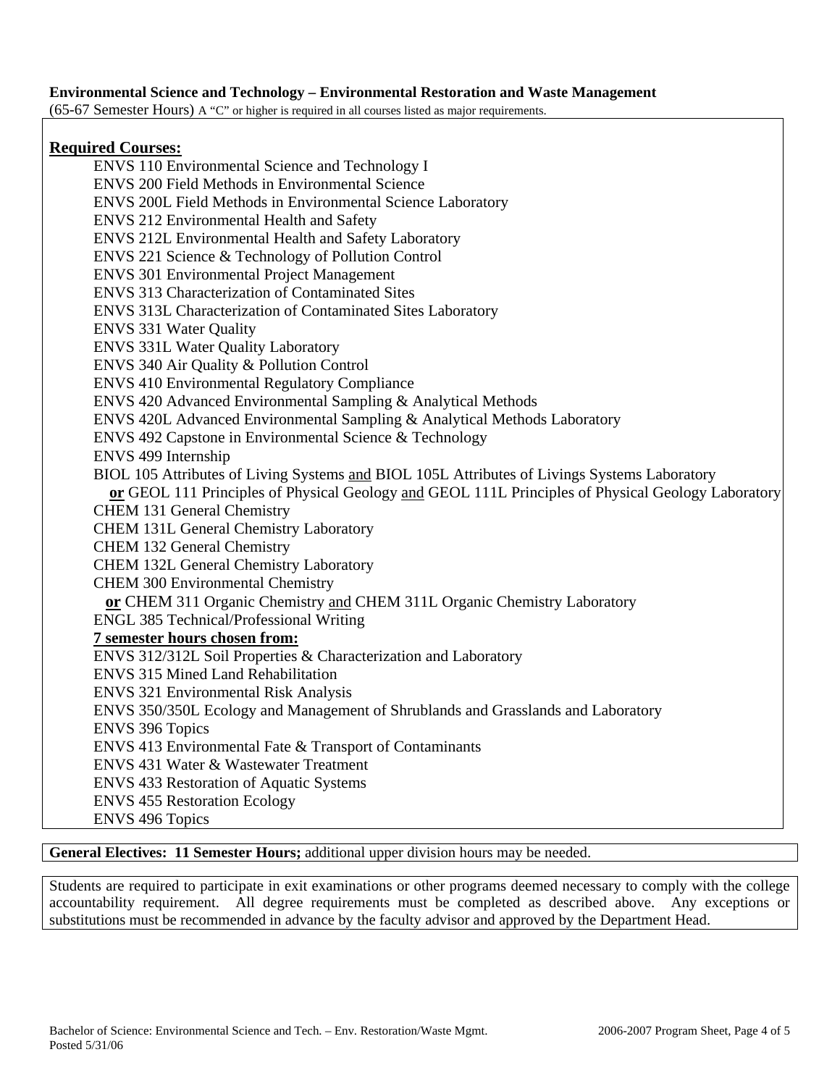## **Environmental Science and Technology – Environmental Restoration and Waste Management**

(65-67 Semester Hours) A "C" or higher is required in all courses listed as major requirements.

## **Required Courses:**

 ENVS 110 Environmental Science and Technology I ENVS 200 Field Methods in Environmental Science ENVS 200L Field Methods in Environmental Science Laboratory ENVS 212 Environmental Health and Safety ENVS 212L Environmental Health and Safety Laboratory ENVS 221 Science & Technology of Pollution Control ENVS 301 Environmental Project Management ENVS 313 Characterization of Contaminated Sites ENVS 313L Characterization of Contaminated Sites Laboratory ENVS 331 Water Quality ENVS 331L Water Quality Laboratory ENVS 340 Air Quality & Pollution Control ENVS 410 Environmental Regulatory Compliance ENVS 420 Advanced Environmental Sampling & Analytical Methods ENVS 420L Advanced Environmental Sampling & Analytical Methods Laboratory ENVS 492 Capstone in Environmental Science & Technology ENVS 499 Internship BIOL 105 Attributes of Living Systems and BIOL 105L Attributes of Livings Systems Laboratory  **or** GEOL 111 Principles of Physical Geology and GEOL 111L Principles of Physical Geology Laboratory CHEM 131 General Chemistry CHEM 131L General Chemistry Laboratory CHEM 132 General Chemistry CHEM 132L General Chemistry Laboratory CHEM 300 Environmental Chemistry **or** CHEM 311 Organic Chemistry and CHEM 311L Organic Chemistry Laboratory ENGL 385 Technical/Professional Writing  **7 semester hours chosen from:** ENVS 312/312L Soil Properties & Characterization and Laboratory ENVS 315 Mined Land Rehabilitation ENVS 321 Environmental Risk Analysis ENVS 350/350L Ecology and Management of Shrublands and Grasslands and Laboratory ENVS 396 Topics ENVS 413 Environmental Fate & Transport of Contaminants ENVS 431 Water & Wastewater Treatment ENVS 433 Restoration of Aquatic Systems ENVS 455 Restoration Ecology ENVS 496 Topics

# **General Electives: 11 Semester Hours;** additional upper division hours may be needed.

Students are required to participate in exit examinations or other programs deemed necessary to comply with the college accountability requirement. All degree requirements must be completed as described above. Any exceptions or substitutions must be recommended in advance by the faculty advisor and approved by the Department Head.